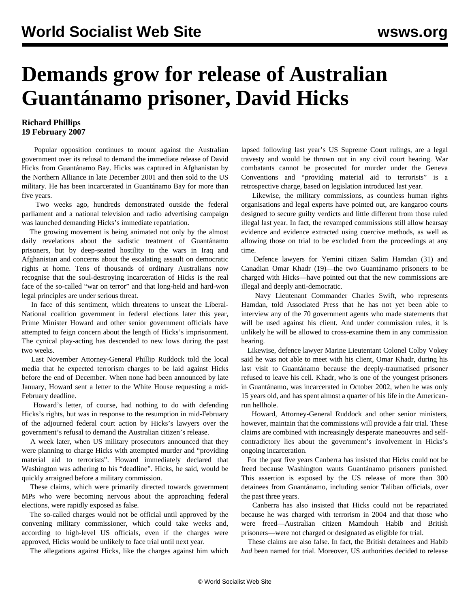## **Demands grow for release of Australian Guantánamo prisoner, David Hicks**

## **Richard Phillips 19 February 2007**

 Popular opposition continues to mount against the Australian government over its refusal to demand the immediate release of David Hicks from Guantánamo Bay. Hicks was captured in Afghanistan by the Northern Alliance in late December 2001 and then sold to the US military. He has been incarcerated in Guantánamo Bay for more than five years.

 Two weeks ago, hundreds demonstrated outside the federal parliament and a national television and radio advertising campaign was launched demanding Hicks's immediate repatriation.

 The growing movement is being animated not only by the almost daily revelations about the sadistic treatment of Guantánamo prisoners, but by deep-seated hostility to the wars in Iraq and Afghanistan and concerns about the escalating assault on democratic rights at home. Tens of thousands of ordinary Australians now recognise that the soul-destroying incarceration of Hicks is the real face of the so-called "war on terror" and that long-held and hard-won legal principles are under serious threat.

 In face of this sentiment, which threatens to unseat the Liberal-National coalition government in federal elections later this year, Prime Minister Howard and other senior government officials have attempted to feign concern about the length of Hicks's imprisonment. The cynical play-acting has descended to new lows during the past two weeks.

 Last November Attorney-General Phillip Ruddock told the local media that he expected terrorism charges to be laid against Hicks before the end of December. When none had been announced by late January, Howard sent a letter to the White House requesting a mid-February deadline.

 Howard's letter, of course, had nothing to do with defending Hicks's rights, but was in response to the resumption in mid-February of the adjourned federal court action by Hicks's lawyers over the government's refusal to demand the Australian citizen's release.

 A week later, when US military prosecutors announced that they were planning to charge Hicks with attempted murder and "providing material aid to terrorists". Howard immediately declared that Washington was adhering to his "deadline". Hicks, he said, would be quickly arraigned before a military commission.

 These claims, which were primarily directed towards government MPs who were becoming nervous about the approaching federal elections, were rapidly exposed as false.

 The so-called charges would not be official until approved by the convening military commissioner, which could take weeks and, according to high-level US officials, even if the charges were approved, Hicks would be unlikely to face trial until next year.

The allegations against Hicks, like the charges against him which

lapsed following last year's US Supreme Court rulings, are a legal travesty and would be thrown out in any civil court hearing. War combatants cannot be prosecuted for murder under the Geneva Conventions and "providing material aid to terrorists" is a retrospective charge, based on legislation introduced last year.

 Likewise, the military commissions, as countless human rights organisations and legal experts have pointed out, are kangaroo courts designed to secure guilty verdicts and little different from those ruled illegal last year. In fact, the revamped commissions still allow hearsay evidence and evidence extracted using coercive methods, as well as allowing those on trial to be excluded from the proceedings at any time.

 Defence lawyers for Yemini citizen Salim Hamdan (31) and Canadian Omar Khadr (19)—the two Guantánamo prisoners to be charged with Hicks—have pointed out that the new commissions are illegal and deeply anti-democratic.

 Navy Lieutenant Commander Charles Swift, who represents Hamdan, told Associated Press that he has not yet been able to interview any of the 70 government agents who made statements that will be used against his client. And under commission rules, it is unlikely he will be allowed to cross-examine them in any commission hearing.

 Likewise, defence lawyer Marine Lieutentant Colonel Colby Vokey said he was not able to meet with his client, Omar Khadr, during his last visit to Guantánamo because the deeply-traumatised prisoner refused to leave his cell. Khadr, who is one of the youngest prisoners in Guantánamo, was incarcerated in October 2002, when he was only 15 years old, and has spent almost a quarter of his life in the Americanrun hellhole.

 Howard, Attorney-General Ruddock and other senior ministers, however, maintain that the commissions will provide a fair trial. These claims are combined with increasingly desperate maneouvres and selfcontradictory lies about the government's involvement in Hicks's ongoing incarceration.

 For the past five years Canberra has insisted that Hicks could not be freed because Washington wants Guantánamo prisoners punished. This assertion is exposed by the US release of more than 300 detainees from Guantánamo, including senior Taliban officials, over the past three years.

 Canberra has also insisted that Hicks could not be repatriated because he was charged with terrorism in 2004 and that those who were freed—Australian citizen Mamdouh Habib and British prisoners—were not charged or designated as eligible for trial.

 These claims are also false. In fact, the British detainees and Habib *had* been named for trial. Moreover, US authorities decided to release